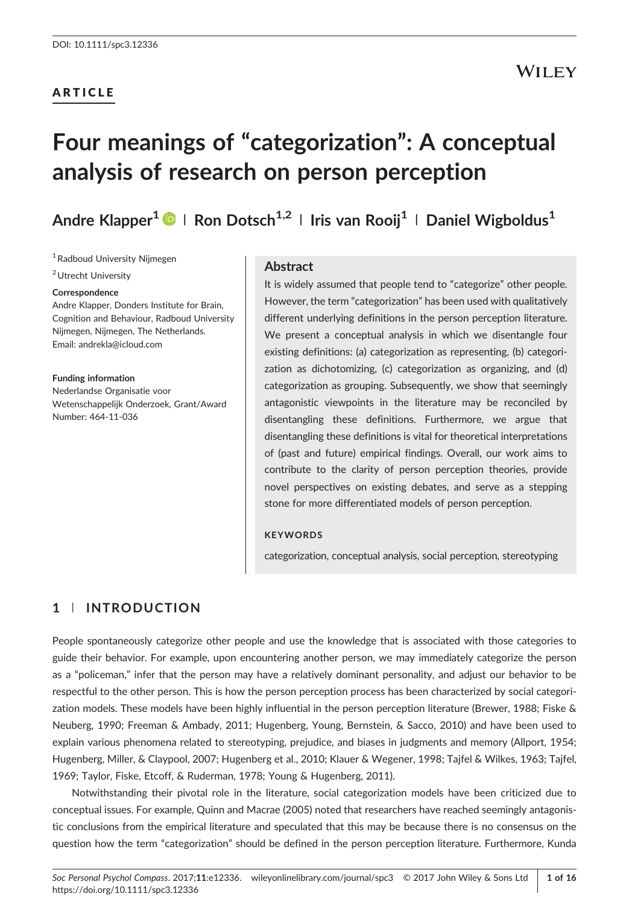### ARTICLE

# Four meanings of "categorization": A conceptual analysis of research on person perception

Andre Klapper<sup>1</sup>  $\bigcirc$  | Ron Dotsch<sup>1,2</sup> | Iris van Rooij<sup>1</sup> | Daniel Wigboldus<sup>1</sup>

<sup>1</sup> Radboud University Nijmegen

2Utrecht University

#### Correspondence

Andre Klapper, Donders Institute for Brain, Cognition and Behaviour, Radboud University Nijmegen, Nijmegen, The Netherlands. Email: [andrekla@icloud.com](mailto:andrekla@icloud.com)

Funding information Nederlandse Organisatie voor Wetenschappelijk Onderzoek, Grant/Award Number: 464‐11‐036

### Abstract

It is widely assumed that people tend to "categorize" other people. However, the term "categorization" has been used with qualitatively different underlying definitions in the person perception literature. We present a conceptual analysis in which we disentangle four existing definitions: (a) categorization as representing, (b) categorization as dichotomizing, (c) categorization as organizing, and (d) categorization as grouping. Subsequently, we show that seemingly antagonistic viewpoints in the literature may be reconciled by disentangling these definitions. Furthermore, we argue that disentangling these definitions is vital for theoretical interpretations of (past and future) empirical findings. Overall, our work aims to contribute to the clarity of person perception theories, provide novel perspectives on existing debates, and serve as a stepping stone for more differentiated models of person perception.

#### **KEYWORDS**

categorization, conceptual analysis, social perception, stereotyping

### 1 | INTRODUCTION

People spontaneously categorize other people and use the knowledge that is associated with those categories to guide their behavior. For example, upon encountering another person, we may immediately categorize the person as a "policeman," infer that the person may have a relatively dominant personality, and adjust our behavior to be respectful to the other person. This is how the person perception process has been characterized by social categorization models. These models have been highly influential in the person perception literature (Brewer, 1988; Fiske & Neuberg, 1990; Freeman & Ambady, 2011; Hugenberg, Young, Bernstein, & Sacco, 2010) and have been used to explain various phenomena related to stereotyping, prejudice, and biases in judgments and memory (Allport, 1954; Hugenberg, Miller, & Claypool, 2007; Hugenberg et al., 2010; Klauer & Wegener, 1998; Tajfel & Wilkes, 1963; Tajfel, 1969; Taylor, Fiske, Etcoff, & Ruderman, 1978; Young & Hugenberg, 2011).

Notwithstanding their pivotal role in the literature, social categorization models have been criticized due to conceptual issues. For example, Quinn and Macrae (2005) noted that researchers have reached seemingly antagonistic conclusions from the empirical literature and speculated that this may be because there is no consensus on the question how the term "categorization" should be defined in the person perception literature. Furthermore, Kunda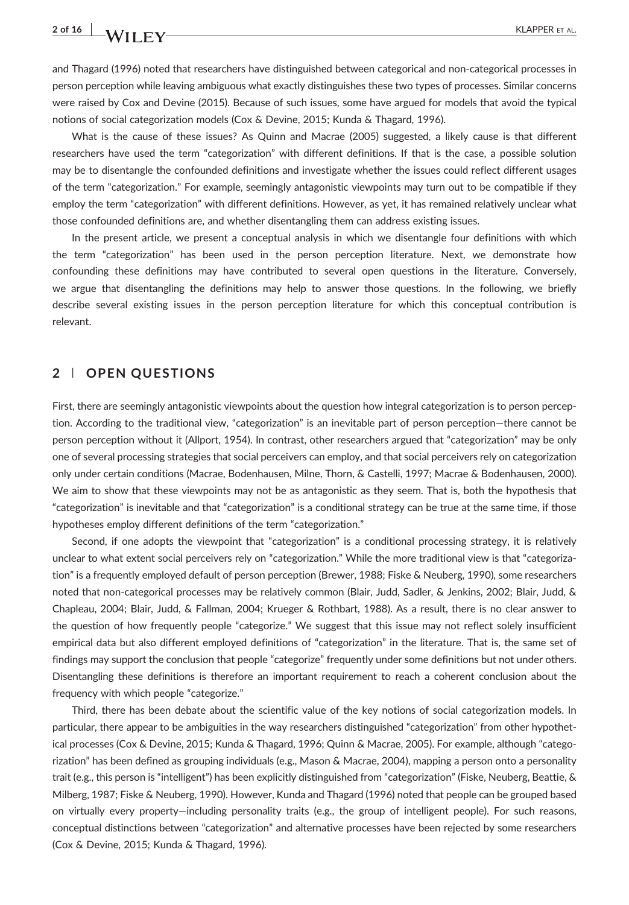2 of 16 **International Contract ALAPPER** ET AL.

and Thagard (1996) noted that researchers have distinguished between categorical and non‐categorical processes in person perception while leaving ambiguous what exactly distinguishes these two types of processes. Similar concerns were raised by Cox and Devine (2015). Because of such issues, some have argued for models that avoid the typical notions of social categorization models (Cox & Devine, 2015; Kunda & Thagard, 1996).

What is the cause of these issues? As Quinn and Macrae (2005) suggested, a likely cause is that different researchers have used the term "categorization" with different definitions. If that is the case, a possible solution may be to disentangle the confounded definitions and investigate whether the issues could reflect different usages of the term "categorization." For example, seemingly antagonistic viewpoints may turn out to be compatible if they employ the term "categorization" with different definitions. However, as yet, it has remained relatively unclear what those confounded definitions are, and whether disentangling them can address existing issues.

In the present article, we present a conceptual analysis in which we disentangle four definitions with which the term "categorization" has been used in the person perception literature. Next, we demonstrate how confounding these definitions may have contributed to several open questions in the literature. Conversely, we argue that disentangling the definitions may help to answer those questions. In the following, we briefly describe several existing issues in the person perception literature for which this conceptual contribution is relevant.

#### 2 | OPEN QUESTIONS

First, there are seemingly antagonistic viewpoints about the question how integral categorization is to person perception. According to the traditional view, "categorization" is an inevitable part of person perception—there cannot be person perception without it (Allport, 1954). In contrast, other researchers argued that "categorization" may be only one of several processing strategies that social perceivers can employ, and that social perceivers rely on categorization only under certain conditions (Macrae, Bodenhausen, Milne, Thorn, & Castelli, 1997; Macrae & Bodenhausen, 2000). We aim to show that these viewpoints may not be as antagonistic as they seem. That is, both the hypothesis that "categorization" is inevitable and that "categorization" is a conditional strategy can be true at the same time, if those hypotheses employ different definitions of the term "categorization."

Second, if one adopts the viewpoint that "categorization" is a conditional processing strategy, it is relatively unclear to what extent social perceivers rely on "categorization." While the more traditional view is that "categorization" is a frequently employed default of person perception (Brewer, 1988; Fiske & Neuberg, 1990), some researchers noted that non‐categorical processes may be relatively common (Blair, Judd, Sadler, & Jenkins, 2002; Blair, Judd, & Chapleau, 2004; Blair, Judd, & Fallman, 2004; Krueger & Rothbart, 1988). As a result, there is no clear answer to the question of how frequently people "categorize." We suggest that this issue may not reflect solely insufficient empirical data but also different employed definitions of "categorization" in the literature. That is, the same set of findings may support the conclusion that people "categorize" frequently under some definitions but not under others. Disentangling these definitions is therefore an important requirement to reach a coherent conclusion about the frequency with which people "categorize."

Third, there has been debate about the scientific value of the key notions of social categorization models. In particular, there appear to be ambiguities in the way researchers distinguished "categorization" from other hypothetical processes (Cox & Devine, 2015; Kunda & Thagard, 1996; Quinn & Macrae, 2005). For example, although "categorization" has been defined as grouping individuals (e.g., Mason & Macrae, 2004), mapping a person onto a personality trait (e.g., this person is "intelligent") has been explicitly distinguished from "categorization" (Fiske, Neuberg, Beattie, & Milberg, 1987; Fiske & Neuberg, 1990). However, Kunda and Thagard (1996) noted that people can be grouped based on virtually every property—including personality traits (e.g., the group of intelligent people). For such reasons, conceptual distinctions between "categorization" and alternative processes have been rejected by some researchers (Cox & Devine, 2015; Kunda & Thagard, 1996).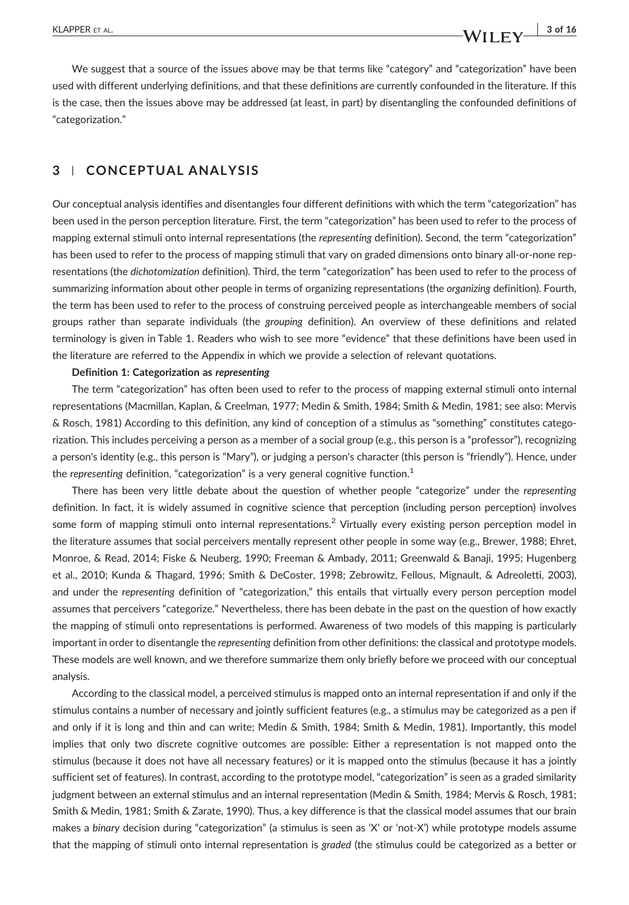We suggest that a source of the issues above may be that terms like "category" and "categorization" have been used with different underlying definitions, and that these definitions are currently confounded in the literature. If this is the case, then the issues above may be addressed (at least, in part) by disentangling the confounded definitions of "categorization."

### 3 | CONCEPTUAL ANALYSIS

Our conceptual analysis identifies and disentangles four different definitions with which the term "categorization" has been used in the person perception literature. First, the term "categorization" has been used to refer to the process of mapping external stimuli onto internal representations (the representing definition). Second, the term "categorization" has been used to refer to the process of mapping stimuli that vary on graded dimensions onto binary all-or-none representations (the dichotomization definition). Third, the term "categorization" has been used to refer to the process of summarizing information about other people in terms of organizing representations (the *organizing definition*). Fourth, the term has been used to refer to the process of construing perceived people as interchangeable members of social groups rather than separate individuals (the grouping definition). An overview of these definitions and related terminology is given in Table 1. Readers who wish to see more "evidence" that these definitions have been used in the literature are referred to the Appendix in which we provide a selection of relevant quotations.

#### Definition 1: Categorization as representing

The term "categorization" has often been used to refer to the process of mapping external stimuli onto internal representations (Macmillan, Kaplan, & Creelman, 1977; Medin & Smith, 1984; Smith & Medin, 1981; see also: Mervis & Rosch, 1981) According to this definition, any kind of conception of a stimulus as "something" constitutes categorization. This includes perceiving a person as a member of a social group (e.g., this person is a "professor"), recognizing a person's identity (e.g., this person is "Mary"), or judging a person's character (this person is "friendly"). Hence, under the representing definition, "categorization" is a very general cognitive function.<sup>1</sup>

There has been very little debate about the question of whether people "categorize" under the representing definition. In fact, it is widely assumed in cognitive science that perception (including person perception) involves some form of mapping stimuli onto internal representations.<sup>2</sup> Virtually every existing person perception model in the literature assumes that social perceivers mentally represent other people in some way (e.g., Brewer, 1988; Ehret, Monroe, & Read, 2014; Fiske & Neuberg, 1990; Freeman & Ambady, 2011; Greenwald & Banaji, 1995; Hugenberg et al., 2010; Kunda & Thagard, 1996; Smith & DeCoster, 1998; Zebrowitz, Fellous, Mignault, & Adreoletti, 2003), and under the representing definition of "categorization," this entails that virtually every person perception model assumes that perceivers "categorize." Nevertheless, there has been debate in the past on the question of how exactly the mapping of stimuli onto representations is performed. Awareness of two models of this mapping is particularly important in order to disentangle the representing definition from other definitions: the classical and prototype models. These models are well known, and we therefore summarize them only briefly before we proceed with our conceptual analysis.

According to the classical model, a perceived stimulus is mapped onto an internal representation if and only if the stimulus contains a number of necessary and jointly sufficient features (e.g., a stimulus may be categorized as a pen if and only if it is long and thin and can write; Medin & Smith, 1984; Smith & Medin, 1981). Importantly, this model implies that only two discrete cognitive outcomes are possible: Either a representation is not mapped onto the stimulus (because it does not have all necessary features) or it is mapped onto the stimulus (because it has a jointly sufficient set of features). In contrast, according to the prototype model, "categorization" is seen as a graded similarity judgment between an external stimulus and an internal representation (Medin & Smith, 1984; Mervis & Rosch, 1981; Smith & Medin, 1981; Smith & Zarate, 1990). Thus, a key difference is that the classical model assumes that our brain makes a binary decision during "categorization" (a stimulus is seen as 'X' or 'not‐X') while prototype models assume that the mapping of stimuli onto internal representation is graded (the stimulus could be categorized as a better or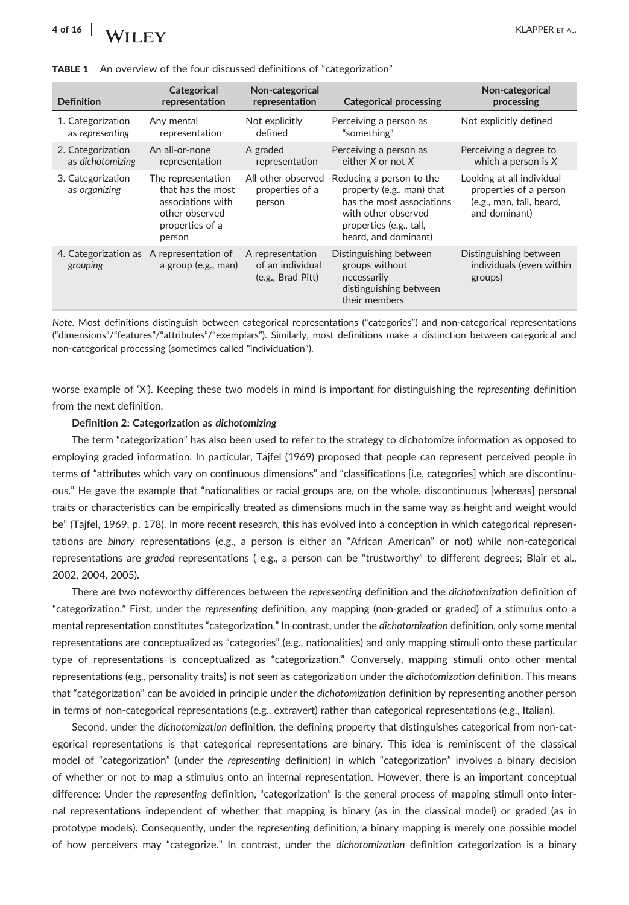| <b>Definition</b>                     | Categorical<br>representation                                                                               | Non-categorical<br>representation                         | <b>Categorical processing</b>                                                                                                                                | Non-categorical<br>processing                                                                    |
|---------------------------------------|-------------------------------------------------------------------------------------------------------------|-----------------------------------------------------------|--------------------------------------------------------------------------------------------------------------------------------------------------------------|--------------------------------------------------------------------------------------------------|
| 1. Categorization<br>as representing  | Any mental<br>representation                                                                                | Not explicitly<br>defined                                 | Perceiving a person as<br>"something"                                                                                                                        | Not explicitly defined                                                                           |
| 2. Categorization<br>as dichotomizing | An all-or-none<br>representation                                                                            | A graded<br>representation                                | Perceiving a person as<br>either $X$ or not $X$                                                                                                              | Perceiving a degree to<br>which a person is $X$                                                  |
| 3. Categorization<br>as organizing    | The representation<br>that has the most<br>associations with<br>other observed<br>properties of a<br>person | All other observed<br>properties of a<br>person           | Reducing a person to the<br>property (e.g., man) that<br>has the most associations<br>with other observed<br>properties (e.g., tall,<br>beard, and dominant) | Looking at all individual<br>properties of a person<br>(e.g., man, tall, beard,<br>and dominant) |
| grouping                              | 4. Categorization as A representation of<br>a group (e.g., man)                                             | A representation<br>of an individual<br>(e.g., Brad Pitt) | Distinguishing between<br>groups without<br>necessarily<br>distinguishing between<br>their members                                                           | Distinguishing between<br>individuals (even within<br>groups)                                    |

#### **TABLE 1** An overview of the four discussed definitions of "categorization"

Note. Most definitions distinguish between categorical representations ("categories") and non‐categorical representations ("dimensions"/"features"/"attributes"/"exemplars"). Similarly, most definitions make a distinction between categorical and non‐categorical processing (sometimes called "individuation").

worse example of 'X'). Keeping these two models in mind is important for distinguishing the representing definition from the next definition.

#### Definition 2: Categorization as dichotomizing

The term "categorization" has also been used to refer to the strategy to dichotomize information as opposed to employing graded information. In particular, Tajfel (1969) proposed that people can represent perceived people in terms of "attributes which vary on continuous dimensions" and "classifications [i.e. categories] which are discontinuous." He gave the example that "nationalities or racial groups are, on the whole, discontinuous [whereas] personal traits or characteristics can be empirically treated as dimensions much in the same way as height and weight would be" (Tajfel, 1969, p. 178). In more recent research, this has evolved into a conception in which categorical representations are binary representations (e.g., a person is either an "African American" or not) while non‐categorical representations are graded representations (e.g., a person can be "trustworthy" to different degrees; Blair et al., 2002, 2004, 2005).

There are two noteworthy differences between the representing definition and the dichotomization definition of "categorization." First, under the representing definition, any mapping (non‐graded or graded) of a stimulus onto a mental representation constitutes "categorization." In contrast, under the dichotomization definition, only some mental representations are conceptualized as "categories" (e.g., nationalities) and only mapping stimuli onto these particular type of representations is conceptualized as "categorization." Conversely, mapping stimuli onto other mental representations (e.g., personality traits) is not seen as categorization under the dichotomization definition. This means that "categorization" can be avoided in principle under the dichotomization definition by representing another person in terms of non-categorical representations (e.g., extravert) rather than categorical representations (e.g., Italian).

Second, under the dichotomization definition, the defining property that distinguishes categorical from non-categorical representations is that categorical representations are binary. This idea is reminiscent of the classical model of "categorization" (under the representing definition) in which "categorization" involves a binary decision of whether or not to map a stimulus onto an internal representation. However, there is an important conceptual difference: Under the representing definition, "categorization" is the general process of mapping stimuli onto internal representations independent of whether that mapping is binary (as in the classical model) or graded (as in prototype models). Consequently, under the representing definition, a binary mapping is merely one possible model of how perceivers may "categorize." In contrast, under the dichotomization definition categorization is a binary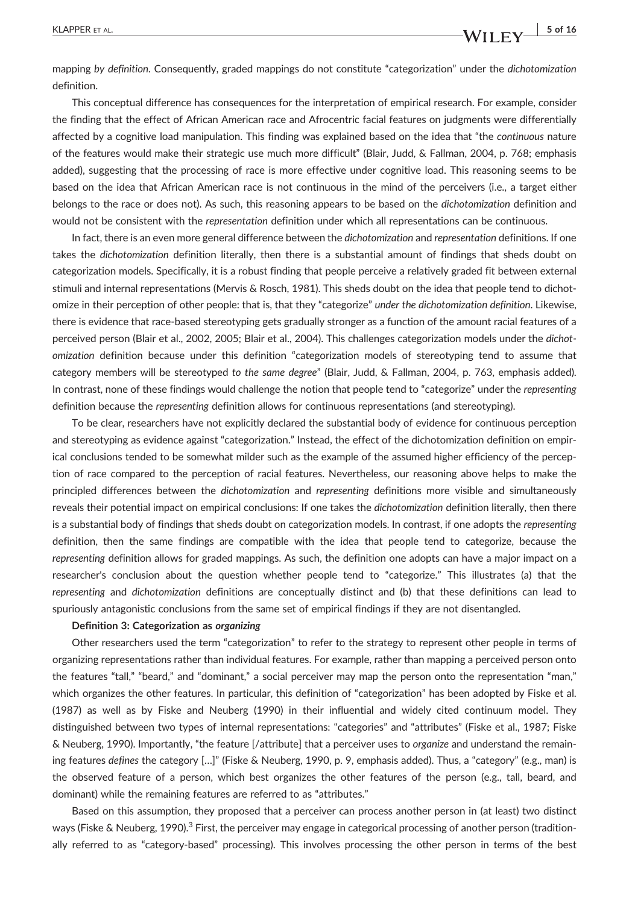mapping by definition. Consequently, graded mappings do not constitute "categorization" under the dichotomization definition.

This conceptual difference has consequences for the interpretation of empirical research. For example, consider the finding that the effect of African American race and Afrocentric facial features on judgments were differentially affected by a cognitive load manipulation. This finding was explained based on the idea that "the continuous nature of the features would make their strategic use much more difficult" (Blair, Judd, & Fallman, 2004, p. 768; emphasis added), suggesting that the processing of race is more effective under cognitive load. This reasoning seems to be based on the idea that African American race is not continuous in the mind of the perceivers (i.e., a target either belongs to the race or does not). As such, this reasoning appears to be based on the dichotomization definition and would not be consistent with the representation definition under which all representations can be continuous.

In fact, there is an even more general difference between the dichotomization and representation definitions. If one takes the dichotomization definition literally, then there is a substantial amount of findings that sheds doubt on categorization models. Specifically, it is a robust finding that people perceive a relatively graded fit between external stimuli and internal representations (Mervis & Rosch, 1981). This sheds doubt on the idea that people tend to dichotomize in their perception of other people: that is, that they "categorize" under the dichotomization definition. Likewise, there is evidence that race‐based stereotyping gets gradually stronger as a function of the amount racial features of a perceived person (Blair et al., 2002, 2005; Blair et al., 2004). This challenges categorization models under the dichotomization definition because under this definition "categorization models of stereotyping tend to assume that category members will be stereotyped to the same degree" (Blair, Judd, & Fallman, 2004, p. 763, emphasis added). In contrast, none of these findings would challenge the notion that people tend to "categorize" under the representing definition because the representing definition allows for continuous representations (and stereotyping).

To be clear, researchers have not explicitly declared the substantial body of evidence for continuous perception and stereotyping as evidence against "categorization." Instead, the effect of the dichotomization definition on empirical conclusions tended to be somewhat milder such as the example of the assumed higher efficiency of the perception of race compared to the perception of racial features. Nevertheless, our reasoning above helps to make the principled differences between the dichotomization and representing definitions more visible and simultaneously reveals their potential impact on empirical conclusions: If one takes the dichotomization definition literally, then there is a substantial body of findings that sheds doubt on categorization models. In contrast, if one adopts the representing definition, then the same findings are compatible with the idea that people tend to categorize, because the representing definition allows for graded mappings. As such, the definition one adopts can have a major impact on a researcher's conclusion about the question whether people tend to "categorize." This illustrates (a) that the representing and dichotomization definitions are conceptually distinct and (b) that these definitions can lead to spuriously antagonistic conclusions from the same set of empirical findings if they are not disentangled.

#### Definition 3: Categorization as organizing

Other researchers used the term "categorization" to refer to the strategy to represent other people in terms of organizing representations rather than individual features. For example, rather than mapping a perceived person onto the features "tall," "beard," and "dominant," a social perceiver may map the person onto the representation "man," which organizes the other features. In particular, this definition of "categorization" has been adopted by Fiske et al. (1987) as well as by Fiske and Neuberg (1990) in their influential and widely cited continuum model. They distinguished between two types of internal representations: "categories" and "attributes" (Fiske et al., 1987; Fiske & Neuberg, 1990). Importantly, "the feature [/attribute] that a perceiver uses to organize and understand the remaining features defines the category […]" (Fiske & Neuberg, 1990, p. 9, emphasis added). Thus, a "category" (e.g., man) is the observed feature of a person, which best organizes the other features of the person (e.g., tall, beard, and dominant) while the remaining features are referred to as "attributes."

Based on this assumption, they proposed that a perceiver can process another person in (at least) two distinct ways (Fiske & Neuberg, 1990).<sup>3</sup> First, the perceiver may engage in categorical processing of another person (traditionally referred to as "category‐based" processing). This involves processing the other person in terms of the best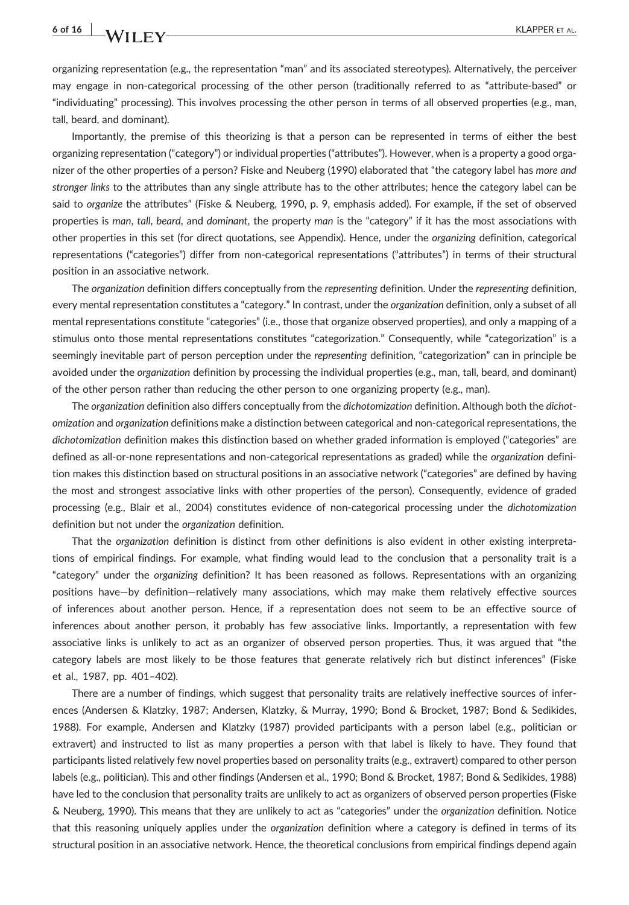### 6 of 16 KLAPPER ET AL.

organizing representation (e.g., the representation "man" and its associated stereotypes). Alternatively, the perceiver may engage in non-categorical processing of the other person (traditionally referred to as "attribute-based" or "individuating" processing). This involves processing the other person in terms of all observed properties (e.g., man, tall, beard, and dominant).

Importantly, the premise of this theorizing is that a person can be represented in terms of either the best organizing representation ("category") or individual properties ("attributes"). However, when is a property a good organizer of the other properties of a person? Fiske and Neuberg (1990) elaborated that "the category label has more and stronger links to the attributes than any single attribute has to the other attributes; hence the category label can be said to organize the attributes" (Fiske & Neuberg, 1990, p. 9, emphasis added). For example, if the set of observed properties is man, tall, beard, and dominant, the property man is the "category" if it has the most associations with other properties in this set (for direct quotations, see Appendix). Hence, under the organizing definition, categorical representations ("categories") differ from non‐categorical representations ("attributes") in terms of their structural position in an associative network.

The organization definition differs conceptually from the representing definition. Under the representing definition, every mental representation constitutes a "category." In contrast, under the organization definition, only a subset of all mental representations constitute "categories" (i.e., those that organize observed properties), and only a mapping of a stimulus onto those mental representations constitutes "categorization." Consequently, while "categorization" is a seemingly inevitable part of person perception under the representing definition, "categorization" can in principle be avoided under the organization definition by processing the individual properties (e.g., man, tall, beard, and dominant) of the other person rather than reducing the other person to one organizing property (e.g., man).

The organization definition also differs conceptually from the dichotomization definition. Although both the dichotomization and organization definitions make a distinction between categorical and non‐categorical representations, the dichotomization definition makes this distinction based on whether graded information is employed ("categories" are defined as all-or-none representations and non-categorical representations as graded) while the organization definition makes this distinction based on structural positions in an associative network ("categories" are defined by having the most and strongest associative links with other properties of the person). Consequently, evidence of graded processing (e.g., Blair et al., 2004) constitutes evidence of non-categorical processing under the dichotomization definition but not under the organization definition.

That the organization definition is distinct from other definitions is also evident in other existing interpretations of empirical findings. For example, what finding would lead to the conclusion that a personality trait is a "category" under the organizing definition? It has been reasoned as follows. Representations with an organizing positions have—by definition—relatively many associations, which may make them relatively effective sources of inferences about another person. Hence, if a representation does not seem to be an effective source of inferences about another person, it probably has few associative links. Importantly, a representation with few associative links is unlikely to act as an organizer of observed person properties. Thus, it was argued that "the category labels are most likely to be those features that generate relatively rich but distinct inferences" (Fiske et al., 1987, pp. 401–402).

There are a number of findings, which suggest that personality traits are relatively ineffective sources of inferences (Andersen & Klatzky, 1987; Andersen, Klatzky, & Murray, 1990; Bond & Brocket, 1987; Bond & Sedikides, 1988). For example, Andersen and Klatzky (1987) provided participants with a person label (e.g., politician or extravert) and instructed to list as many properties a person with that label is likely to have. They found that participants listed relatively few novel properties based on personality traits (e.g., extravert) compared to other person labels (e.g., politician). This and other findings (Andersen et al., 1990; Bond & Brocket, 1987; Bond & Sedikides, 1988) have led to the conclusion that personality traits are unlikely to act as organizers of observed person properties (Fiske & Neuberg, 1990). This means that they are unlikely to act as "categories" under the organization definition. Notice that this reasoning uniquely applies under the organization definition where a category is defined in terms of its structural position in an associative network. Hence, the theoretical conclusions from empirical findings depend again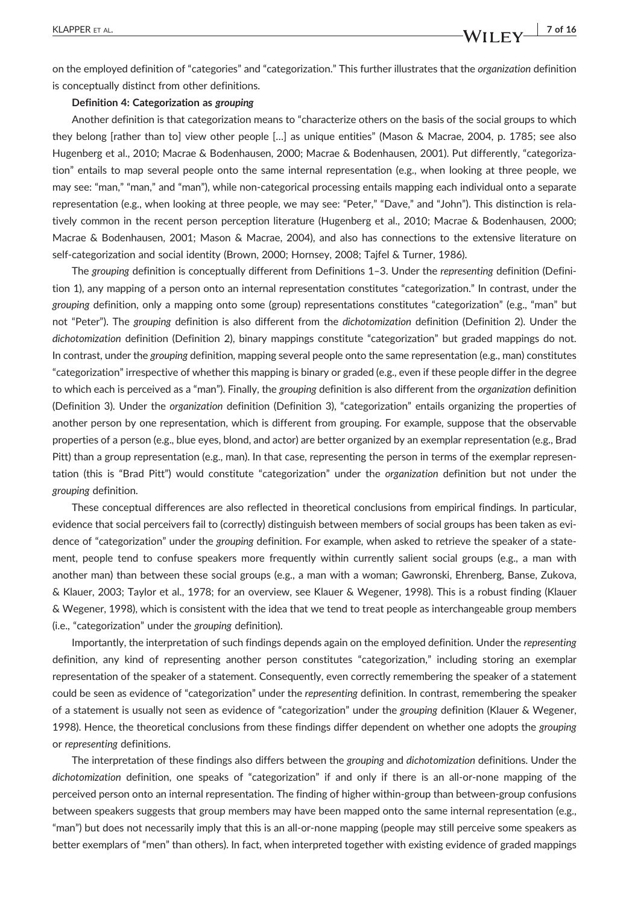## KLAPPER ET AL.  $\begin{array}{c|c|c|c|c} \hline \text{KLAPPER ET AL.} & \text{7 of 16} \end{array}$

on the employed definition of "categories" and "categorization." This further illustrates that the organization definition is conceptually distinct from other definitions.

#### Definition 4: Categorization as grouping

Another definition is that categorization means to "characterize others on the basis of the social groups to which they belong [rather than to] view other people […] as unique entities" (Mason & Macrae, 2004, p. 1785; see also Hugenberg et al., 2010; Macrae & Bodenhausen, 2000; Macrae & Bodenhausen, 2001). Put differently, "categorization" entails to map several people onto the same internal representation (e.g., when looking at three people, we may see: "man," "man," and "man"), while non-categorical processing entails mapping each individual onto a separate representation (e.g., when looking at three people, we may see: "Peter," "Dave," and "John"). This distinction is relatively common in the recent person perception literature (Hugenberg et al., 2010; Macrae & Bodenhausen, 2000; Macrae & Bodenhausen, 2001; Mason & Macrae, 2004), and also has connections to the extensive literature on self-categorization and social identity (Brown, 2000; Hornsey, 2008; Tajfel & Turner, 1986).

The grouping definition is conceptually different from Definitions 1–3. Under the representing definition (Definition 1), any mapping of a person onto an internal representation constitutes "categorization." In contrast, under the grouping definition, only a mapping onto some (group) representations constitutes "categorization" (e.g., "man" but not "Peter"). The grouping definition is also different from the dichotomization definition (Definition 2). Under the dichotomization definition (Definition 2), binary mappings constitute "categorization" but graded mappings do not. In contrast, under the grouping definition, mapping several people onto the same representation (e.g., man) constitutes "categorization" irrespective of whether this mapping is binary or graded (e.g., even if these people differ in the degree to which each is perceived as a "man"). Finally, the grouping definition is also different from the organization definition (Definition 3). Under the organization definition (Definition 3), "categorization" entails organizing the properties of another person by one representation, which is different from grouping. For example, suppose that the observable properties of a person (e.g., blue eyes, blond, and actor) are better organized by an exemplar representation (e.g., Brad Pitt) than a group representation (e.g., man). In that case, representing the person in terms of the exemplar representation (this is "Brad Pitt") would constitute "categorization" under the organization definition but not under the grouping definition.

These conceptual differences are also reflected in theoretical conclusions from empirical findings. In particular, evidence that social perceivers fail to (correctly) distinguish between members of social groups has been taken as evidence of "categorization" under the grouping definition. For example, when asked to retrieve the speaker of a statement, people tend to confuse speakers more frequently within currently salient social groups (e.g., a man with another man) than between these social groups (e.g., a man with a woman; Gawronski, Ehrenberg, Banse, Zukova, & Klauer, 2003; Taylor et al., 1978; for an overview, see Klauer & Wegener, 1998). This is a robust finding (Klauer & Wegener, 1998), which is consistent with the idea that we tend to treat people as interchangeable group members (i.e., "categorization" under the grouping definition).

Importantly, the interpretation of such findings depends again on the employed definition. Under the representing definition, any kind of representing another person constitutes "categorization," including storing an exemplar representation of the speaker of a statement. Consequently, even correctly remembering the speaker of a statement could be seen as evidence of "categorization" under the representing definition. In contrast, remembering the speaker of a statement is usually not seen as evidence of "categorization" under the grouping definition (Klauer & Wegener, 1998). Hence, the theoretical conclusions from these findings differ dependent on whether one adopts the grouping or representing definitions.

The interpretation of these findings also differs between the grouping and dichotomization definitions. Under the dichotomization definition, one speaks of "categorization" if and only if there is an all-or-none mapping of the perceived person onto an internal representation. The finding of higher within‐group than between‐group confusions between speakers suggests that group members may have been mapped onto the same internal representation (e.g., "man") but does not necessarily imply that this is an all‐or‐none mapping (people may still perceive some speakers as better exemplars of "men" than others). In fact, when interpreted together with existing evidence of graded mappings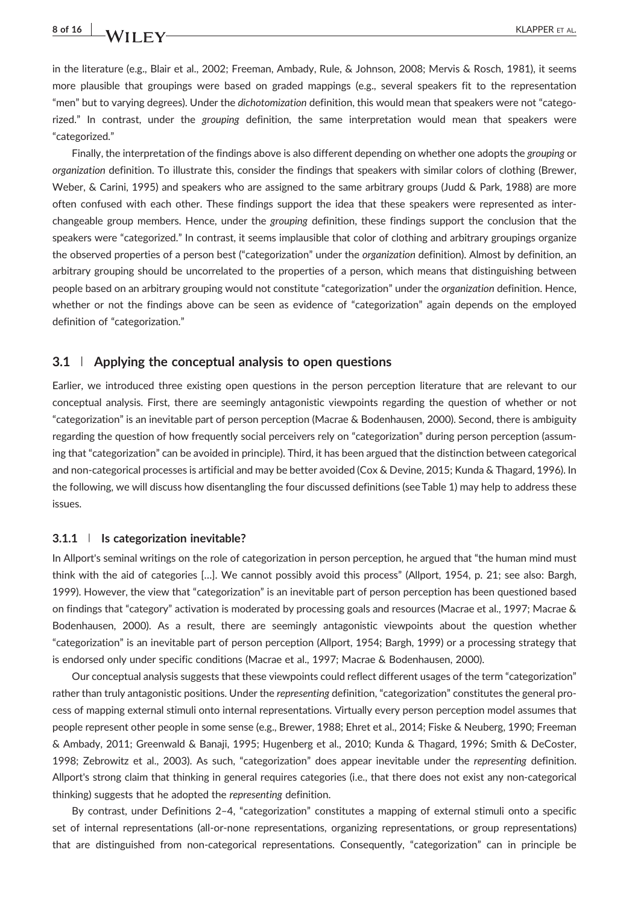### 8 of 16 KLAPPER ET AL.

in the literature (e.g., Blair et al., 2002; Freeman, Ambady, Rule, & Johnson, 2008; Mervis & Rosch, 1981), it seems more plausible that groupings were based on graded mappings (e.g., several speakers fit to the representation "men" but to varying degrees). Under the dichotomization definition, this would mean that speakers were not "categorized." In contrast, under the grouping definition, the same interpretation would mean that speakers were "categorized."

Finally, the interpretation of the findings above is also different depending on whether one adopts the grouping or organization definition. To illustrate this, consider the findings that speakers with similar colors of clothing (Brewer, Weber, & Carini, 1995) and speakers who are assigned to the same arbitrary groups (Judd & Park, 1988) are more often confused with each other. These findings support the idea that these speakers were represented as interchangeable group members. Hence, under the grouping definition, these findings support the conclusion that the speakers were "categorized." In contrast, it seems implausible that color of clothing and arbitrary groupings organize the observed properties of a person best ("categorization" under the organization definition). Almost by definition, an arbitrary grouping should be uncorrelated to the properties of a person, which means that distinguishing between people based on an arbitrary grouping would not constitute "categorization" under the organization definition. Hence, whether or not the findings above can be seen as evidence of "categorization" again depends on the employed definition of "categorization."

#### 3.1 | Applying the conceptual analysis to open questions

Earlier, we introduced three existing open questions in the person perception literature that are relevant to our conceptual analysis. First, there are seemingly antagonistic viewpoints regarding the question of whether or not "categorization" is an inevitable part of person perception (Macrae & Bodenhausen, 2000). Second, there is ambiguity regarding the question of how frequently social perceivers rely on "categorization" during person perception (assuming that "categorization" can be avoided in principle). Third, it has been argued that the distinction between categorical and non-categorical processes is artificial and may be better avoided (Cox & Devine, 2015; Kunda & Thagard, 1996). In the following, we will discuss how disentangling the four discussed definitions (see Table 1) may help to address these issues.

#### 3.1.1 | Is categorization inevitable?

In Allport's seminal writings on the role of categorization in person perception, he argued that "the human mind must think with the aid of categories […]. We cannot possibly avoid this process" (Allport, 1954, p. 21; see also: Bargh, 1999). However, the view that "categorization" is an inevitable part of person perception has been questioned based on findings that "category" activation is moderated by processing goals and resources (Macrae et al., 1997; Macrae & Bodenhausen, 2000). As a result, there are seemingly antagonistic viewpoints about the question whether "categorization" is an inevitable part of person perception (Allport, 1954; Bargh, 1999) or a processing strategy that is endorsed only under specific conditions (Macrae et al., 1997; Macrae & Bodenhausen, 2000).

Our conceptual analysis suggests that these viewpoints could reflect different usages of the term "categorization" rather than truly antagonistic positions. Under the representing definition, "categorization" constitutes the general process of mapping external stimuli onto internal representations. Virtually every person perception model assumes that people represent other people in some sense (e.g., Brewer, 1988; Ehret et al., 2014; Fiske & Neuberg, 1990; Freeman & Ambady, 2011; Greenwald & Banaji, 1995; Hugenberg et al., 2010; Kunda & Thagard, 1996; Smith & DeCoster, 1998; Zebrowitz et al., 2003). As such, "categorization" does appear inevitable under the representing definition. Allport's strong claim that thinking in general requires categories (i.e., that there does not exist any non‐categorical thinking) suggests that he adopted the representing definition.

By contrast, under Definitions 2–4, "categorization" constitutes a mapping of external stimuli onto a specific set of internal representations (all-or-none representations, organizing representations, or group representations) that are distinguished from non‐categorical representations. Consequently, "categorization" can in principle be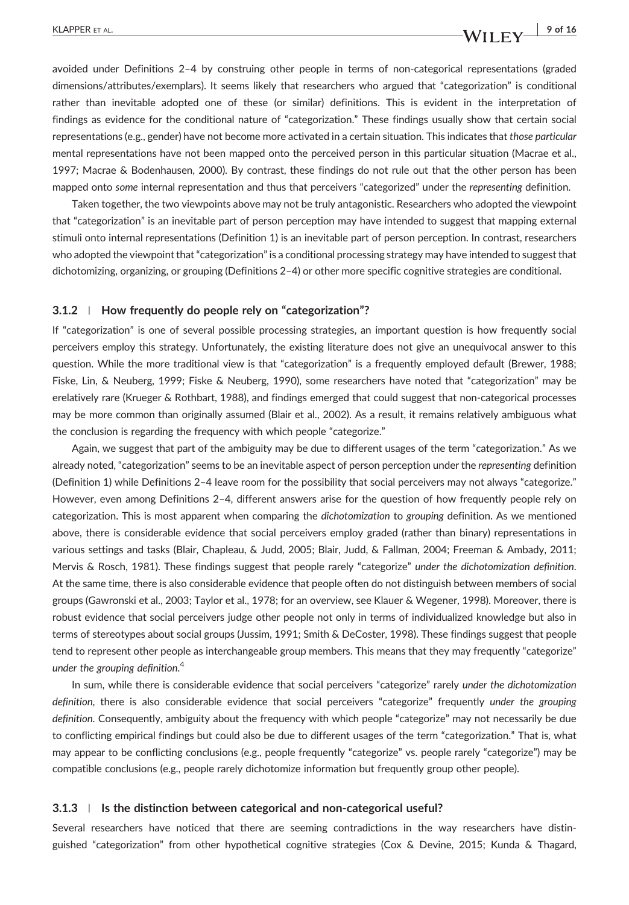avoided under Definitions 2–4 by construing other people in terms of non‐categorical representations (graded dimensions/attributes/exemplars). It seems likely that researchers who argued that "categorization" is conditional rather than inevitable adopted one of these (or similar) definitions. This is evident in the interpretation of findings as evidence for the conditional nature of "categorization." These findings usually show that certain social representations (e.g., gender) have not become more activated in a certain situation. This indicates that those particular mental representations have not been mapped onto the perceived person in this particular situation (Macrae et al., 1997; Macrae & Bodenhausen, 2000). By contrast, these findings do not rule out that the other person has been mapped onto some internal representation and thus that perceivers "categorized" under the representing definition.

Taken together, the two viewpoints above may not be truly antagonistic. Researchers who adopted the viewpoint that "categorization" is an inevitable part of person perception may have intended to suggest that mapping external stimuli onto internal representations (Definition 1) is an inevitable part of person perception. In contrast, researchers who adopted the viewpoint that "categorization" is a conditional processing strategy may have intended to suggest that dichotomizing, organizing, or grouping (Definitions 2–4) or other more specific cognitive strategies are conditional.

#### 3.1.2 | How frequently do people rely on "categorization"?

If "categorization" is one of several possible processing strategies, an important question is how frequently social perceivers employ this strategy. Unfortunately, the existing literature does not give an unequivocal answer to this question. While the more traditional view is that "categorization" is a frequently employed default (Brewer, 1988; Fiske, Lin, & Neuberg, 1999; Fiske & Neuberg, 1990), some researchers have noted that "categorization" may be erelatively rare (Krueger & Rothbart, 1988), and findings emerged that could suggest that non-categorical processes may be more common than originally assumed (Blair et al., 2002). As a result, it remains relatively ambiguous what the conclusion is regarding the frequency with which people "categorize."

Again, we suggest that part of the ambiguity may be due to different usages of the term "categorization." As we already noted, "categorization" seems to be an inevitable aspect of person perception under the representing definition (Definition 1) while Definitions 2–4 leave room for the possibility that social perceivers may not always "categorize." However, even among Definitions 2–4, different answers arise for the question of how frequently people rely on categorization. This is most apparent when comparing the dichotomization to grouping definition. As we mentioned above, there is considerable evidence that social perceivers employ graded (rather than binary) representations in various settings and tasks (Blair, Chapleau, & Judd, 2005; Blair, Judd, & Fallman, 2004; Freeman & Ambady, 2011; Mervis & Rosch, 1981). These findings suggest that people rarely "categorize" under the dichotomization definition. At the same time, there is also considerable evidence that people often do not distinguish between members of social groups (Gawronski et al., 2003; Taylor et al., 1978; for an overview, see Klauer & Wegener, 1998). Moreover, there is robust evidence that social perceivers judge other people not only in terms of individualized knowledge but also in terms of stereotypes about social groups (Jussim, 1991; Smith & DeCoster, 1998). These findings suggest that people tend to represent other people as interchangeable group members. This means that they may frequently "categorize" under the grouping definition. 4

In sum, while there is considerable evidence that social perceivers "categorize" rarely under the dichotomization definition, there is also considerable evidence that social perceivers "categorize" frequently under the grouping definition. Consequently, ambiguity about the frequency with which people "categorize" may not necessarily be due to conflicting empirical findings but could also be due to different usages of the term "categorization." That is, what may appear to be conflicting conclusions (e.g., people frequently "categorize" vs. people rarely "categorize") may be compatible conclusions (e.g., people rarely dichotomize information but frequently group other people).

#### $3.1.3$  | Is the distinction between categorical and non-categorical useful?

Several researchers have noticed that there are seeming contradictions in the way researchers have distinguished "categorization" from other hypothetical cognitive strategies (Cox & Devine, 2015; Kunda & Thagard,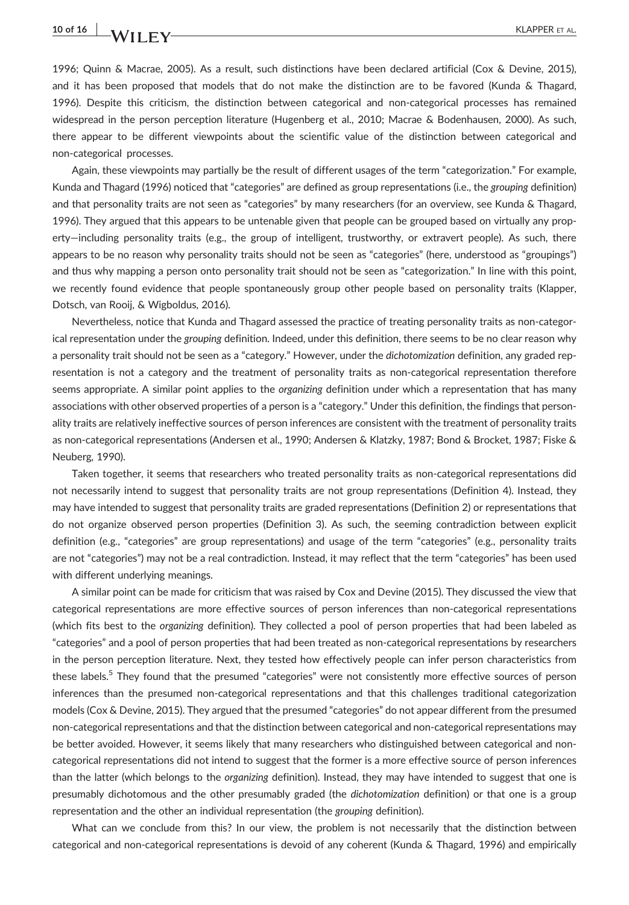### 10 of 16 KLAPPER ET AL.

1996; Quinn & Macrae, 2005). As a result, such distinctions have been declared artificial (Cox & Devine, 2015), and it has been proposed that models that do not make the distinction are to be favored (Kunda & Thagard, 1996). Despite this criticism, the distinction between categorical and non‐categorical processes has remained widespread in the person perception literature (Hugenberg et al., 2010; Macrae & Bodenhausen, 2000). As such, there appear to be different viewpoints about the scientific value of the distinction between categorical and non‐categorical processes.

Again, these viewpoints may partially be the result of different usages of the term "categorization." For example, Kunda and Thagard (1996) noticed that "categories" are defined as group representations (i.e., the grouping definition) and that personality traits are not seen as "categories" by many researchers (for an overview, see Kunda & Thagard, 1996). They argued that this appears to be untenable given that people can be grouped based on virtually any property—including personality traits (e.g., the group of intelligent, trustworthy, or extravert people). As such, there appears to be no reason why personality traits should not be seen as "categories" (here, understood as "groupings") and thus why mapping a person onto personality trait should not be seen as "categorization." In line with this point, we recently found evidence that people spontaneously group other people based on personality traits (Klapper, Dotsch, van Rooij, & Wigboldus, 2016).

Nevertheless, notice that Kunda and Thagard assessed the practice of treating personality traits as non‐categorical representation under the grouping definition. Indeed, under this definition, there seems to be no clear reason why a personality trait should not be seen as a "category." However, under the dichotomization definition, any graded representation is not a category and the treatment of personality traits as non-categorical representation therefore seems appropriate. A similar point applies to the *organizing* definition under which a representation that has many associations with other observed properties of a person is a "category." Under this definition, the findings that personality traits are relatively ineffective sources of person inferences are consistent with the treatment of personality traits as non‐categorical representations (Andersen et al., 1990; Andersen & Klatzky, 1987; Bond & Brocket, 1987; Fiske & Neuberg, 1990).

Taken together, it seems that researchers who treated personality traits as non‐categorical representations did not necessarily intend to suggest that personality traits are not group representations (Definition 4). Instead, they may have intended to suggest that personality traits are graded representations (Definition 2) or representations that do not organize observed person properties (Definition 3). As such, the seeming contradiction between explicit definition (e.g., "categories" are group representations) and usage of the term "categories" (e.g., personality traits are not "categories") may not be a real contradiction. Instead, it may reflect that the term "categories" has been used with different underlying meanings.

A similar point can be made for criticism that was raised by Cox and Devine (2015). They discussed the view that categorical representations are more effective sources of person inferences than non‐categorical representations (which fits best to the organizing definition). They collected a pool of person properties that had been labeled as "categories" and a pool of person properties that had been treated as non‐categorical representations by researchers in the person perception literature. Next, they tested how effectively people can infer person characteristics from these labels.<sup>5</sup> They found that the presumed "categories" were not consistently more effective sources of person inferences than the presumed non‐categorical representations and that this challenges traditional categorization models (Cox & Devine, 2015). They argued that the presumed "categories" do not appear different from the presumed non-categorical representations and that the distinction between categorical and non-categorical representations may be better avoided. However, it seems likely that many researchers who distinguished between categorical and noncategorical representations did not intend to suggest that the former is a more effective source of person inferences than the latter (which belongs to the organizing definition). Instead, they may have intended to suggest that one is presumably dichotomous and the other presumably graded (the dichotomization definition) or that one is a group representation and the other an individual representation (the grouping definition).

What can we conclude from this? In our view, the problem is not necessarily that the distinction between categorical and non‐categorical representations is devoid of any coherent (Kunda & Thagard, 1996) and empirically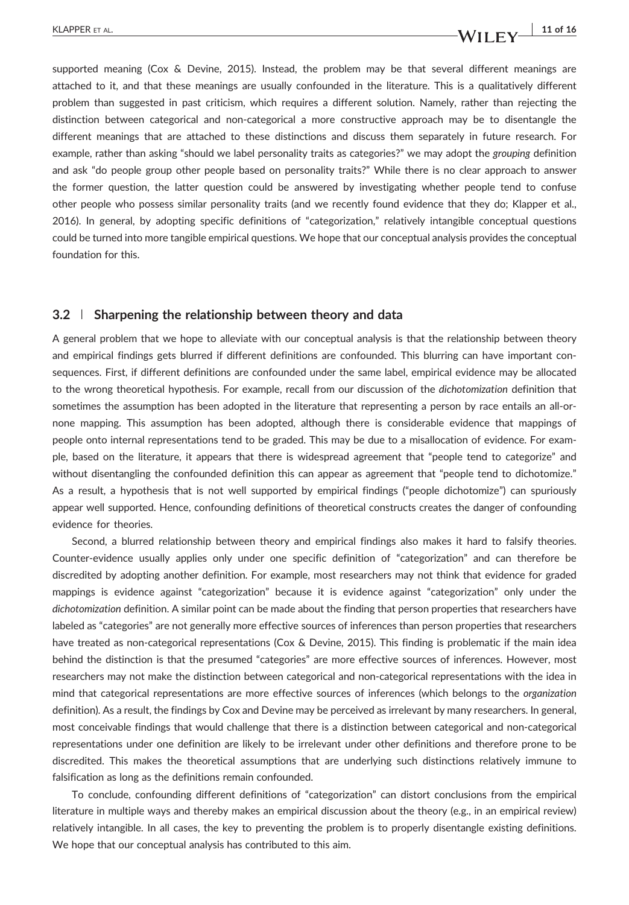supported meaning (Cox & Devine, 2015). Instead, the problem may be that several different meanings are attached to it, and that these meanings are usually confounded in the literature. This is a qualitatively different problem than suggested in past criticism, which requires a different solution. Namely, rather than rejecting the distinction between categorical and non‐categorical a more constructive approach may be to disentangle the different meanings that are attached to these distinctions and discuss them separately in future research. For example, rather than asking "should we label personality traits as categories?" we may adopt the grouping definition and ask "do people group other people based on personality traits?" While there is no clear approach to answer the former question, the latter question could be answered by investigating whether people tend to confuse other people who possess similar personality traits (and we recently found evidence that they do; Klapper et al., 2016). In general, by adopting specific definitions of "categorization," relatively intangible conceptual questions could be turned into more tangible empirical questions. We hope that our conceptual analysis provides the conceptual foundation for this.

#### 3.2 | Sharpening the relationship between theory and data

A general problem that we hope to alleviate with our conceptual analysis is that the relationship between theory and empirical findings gets blurred if different definitions are confounded. This blurring can have important consequences. First, if different definitions are confounded under the same label, empirical evidence may be allocated to the wrong theoretical hypothesis. For example, recall from our discussion of the dichotomization definition that sometimes the assumption has been adopted in the literature that representing a person by race entails an all-ornone mapping. This assumption has been adopted, although there is considerable evidence that mappings of people onto internal representations tend to be graded. This may be due to a misallocation of evidence. For example, based on the literature, it appears that there is widespread agreement that "people tend to categorize" and without disentangling the confounded definition this can appear as agreement that "people tend to dichotomize." As a result, a hypothesis that is not well supported by empirical findings ("people dichotomize") can spuriously appear well supported. Hence, confounding definitions of theoretical constructs creates the danger of confounding evidence for theories.

Second, a blurred relationship between theory and empirical findings also makes it hard to falsify theories. Counter‐evidence usually applies only under one specific definition of "categorization" and can therefore be discredited by adopting another definition. For example, most researchers may not think that evidence for graded mappings is evidence against "categorization" because it is evidence against "categorization" only under the dichotomization definition. A similar point can be made about the finding that person properties that researchers have labeled as "categories" are not generally more effective sources of inferences than person properties that researchers have treated as non-categorical representations (Cox & Devine, 2015). This finding is problematic if the main idea behind the distinction is that the presumed "categories" are more effective sources of inferences. However, most researchers may not make the distinction between categorical and non‐categorical representations with the idea in mind that categorical representations are more effective sources of inferences (which belongs to the organization definition). As a result, the findings by Cox and Devine may be perceived as irrelevant by many researchers. In general, most conceivable findings that would challenge that there is a distinction between categorical and non‐categorical representations under one definition are likely to be irrelevant under other definitions and therefore prone to be discredited. This makes the theoretical assumptions that are underlying such distinctions relatively immune to falsification as long as the definitions remain confounded.

To conclude, confounding different definitions of "categorization" can distort conclusions from the empirical literature in multiple ways and thereby makes an empirical discussion about the theory (e.g., in an empirical review) relatively intangible. In all cases, the key to preventing the problem is to properly disentangle existing definitions. We hope that our conceptual analysis has contributed to this aim.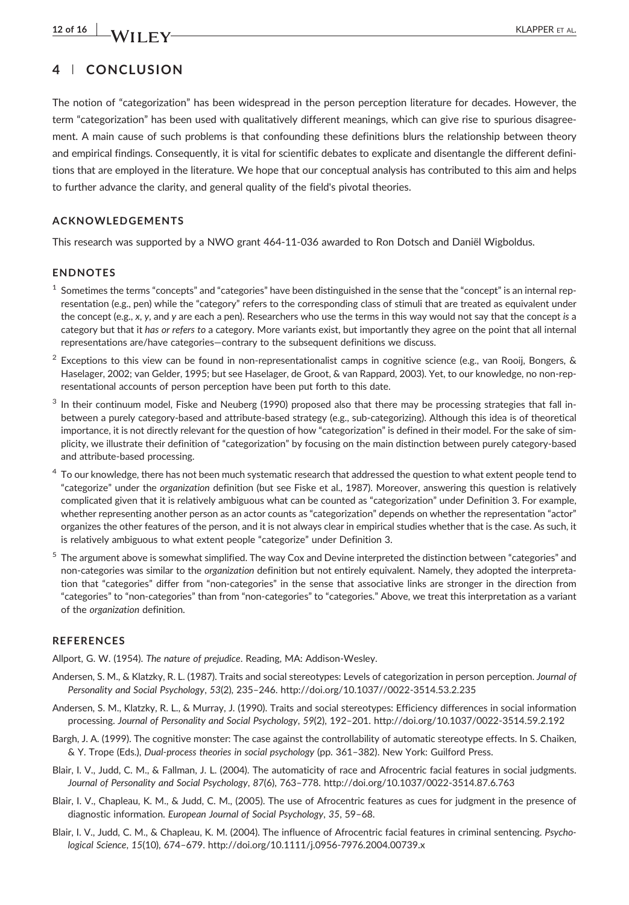12 of 16 NA/LUEN. THE SERVICE OF THE SERVICE OF THE SERVICE OF THE SERVICE OF THE SERVICE OF THE SERVICE OF THE SERVICE OF THE SERVICE OF THE SERVICE OF THE SERVICE OF THE SERVICE OF THE SERVICE OF THE SERVICE OF THE SERVI

### 4 | CONCLUSION

The notion of "categorization" has been widespread in the person perception literature for decades. However, the term "categorization" has been used with qualitatively different meanings, which can give rise to spurious disagreement. A main cause of such problems is that confounding these definitions blurs the relationship between theory and empirical findings. Consequently, it is vital for scientific debates to explicate and disentangle the different definitions that are employed in the literature. We hope that our conceptual analysis has contributed to this aim and helps to further advance the clarity, and general quality of the field's pivotal theories.

#### ACKNOWLEDGEMENTS

This research was supported by a NWO grant 464‐11‐036 awarded to Ron Dotsch and Daniël Wigboldus.

#### **ENDNOTES**

- $1$  Sometimes the terms "concepts" and "categories" have been distinguished in the sense that the "concept" is an internal representation (e.g., pen) while the "category" refers to the corresponding class of stimuli that are treated as equivalent under the concept (e.g., x, y, and y are each a pen). Researchers who use the terms in this way would not say that the concept is a category but that it has or refers to a category. More variants exist, but importantly they agree on the point that all internal representations are/have categories—contrary to the subsequent definitions we discuss.
- $2$  Exceptions to this view can be found in non-representationalist camps in cognitive science (e.g., van Rooij, Bongers, & Haselager, 2002; van Gelder, 1995; but see Haselager, de Groot, & van Rappard, 2003). Yet, to our knowledge, no non-representational accounts of person perception have been put forth to this date.
- $3$  In their continuum model, Fiske and Neuberg (1990) proposed also that there may be processing strategies that fall inbetween a purely category‐based and attribute‐based strategy (e.g., sub‐categorizing). Although this idea is of theoretical importance, it is not directly relevant for the question of how "categorization" is defined in their model. For the sake of simplicity, we illustrate their definition of "categorization" by focusing on the main distinction between purely category‐based and attribute‐based processing.
- <sup>4</sup> To our knowledge, there has not been much systematic research that addressed the question to what extent people tend to "categorize" under the organization definition (but see Fiske et al., 1987). Moreover, answering this question is relatively complicated given that it is relatively ambiguous what can be counted as "categorization" under Definition 3. For example, whether representing another person as an actor counts as "categorization" depends on whether the representation "actor" organizes the other features of the person, and it is not always clear in empirical studies whether that is the case. As such, it is relatively ambiguous to what extent people "categorize" under Definition 3.
- The argument above is somewhat simplified. The way Cox and Devine interpreted the distinction between "categories" and non-categories was similar to the organization definition but not entirely equivalent. Namely, they adopted the interpretation that "categories" differ from "non‐categories" in the sense that associative links are stronger in the direction from "categories" to "non‐categories" than from "non‐categories" to "categories." Above, we treat this interpretation as a variant of the organization definition.

#### REFERENCES

Allport, G. W. (1954). The nature of prejudice. Reading, MA: Addison‐Wesley.

- Andersen, S. M., & Klatzky, R. L. (1987). Traits and social stereotypes: Levels of categorization in person perception. Journal of Personality and Social Psychology, 53(2), 235–246. [http://doi.org/10.1037//0022](http://doi.org/10.1037//0022-3514.53.2.235)‐3514.53.2.235
- Andersen, S. M., Klatzky, R. L., & Murray, J. (1990). Traits and social stereotypes: Efficiency differences in social information processing. Journal of Personality and Social Psychology, 59(2), 192–201. [http://doi.org/10.1037/0022](http://doi.org/10.1037/0022-3514.59.2.192)‐3514.59.2.192
- Bargh, J. A. (1999). The cognitive monster: The case against the controllability of automatic stereotype effects. In S. Chaiken, & Y. Trope (Eds.), Dual‐process theories in social psychology (pp. 361–382). New York: Guilford Press.
- Blair, I. V., Judd, C. M., & Fallman, J. L. (2004). The automaticity of race and Afrocentric facial features in social judgments. Journal of Personality and Social Psychology, 87(6), 763–778. [http://doi.org/10.1037/0022](http://doi.org/10.1037/0022-3514.87.6.763)‐3514.87.6.763
- Blair, I. V., Chapleau, K. M., & Judd, C. M., (2005). The use of Afrocentric features as cues for judgment in the presence of diagnostic information. European Journal of Social Psychology, 35, 59–68.
- Blair, I. V., Judd, C. M., & Chapleau, K. M. (2004). The influence of Afrocentric facial features in criminal sentencing. Psychological Science, 15(10), 674–679. [http://doi.org/10.1111/j.0956](http://doi.org/10.1111/j.0956-7976.2004.00739.x)‐7976.2004.00739.x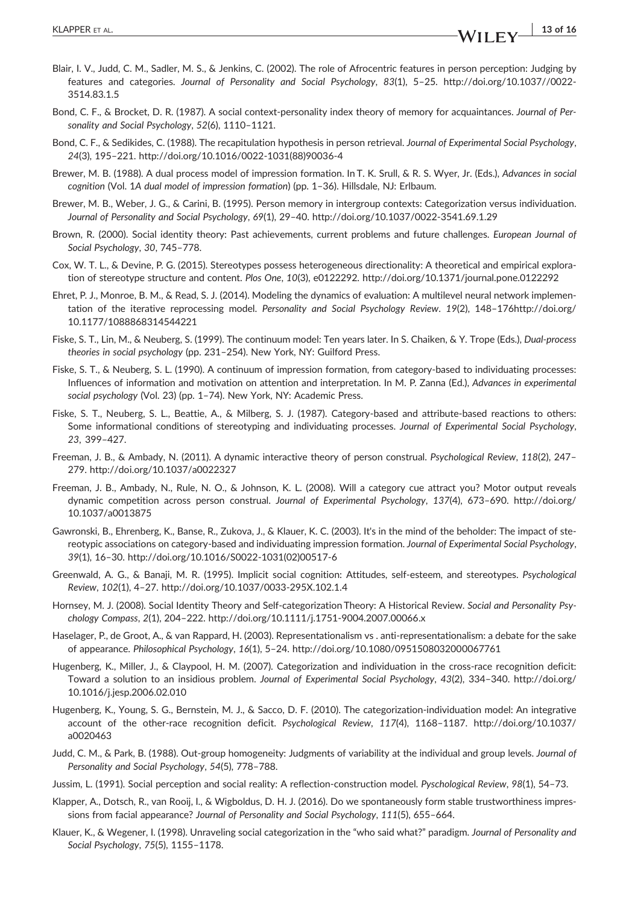- Bond, C. F., & Brocket, D. R. (1987). A social context-personality index theory of memory for acquaintances. Journal of Personality and Social Psychology, 52(6), 1110–1121.
- Bond, C. F., & Sedikides, C. (1988). The recapitulation hypothesis in person retrieval. Journal of Experimental Social Psychology, 24(3), 195–221. [http://doi.org/10.1016/0022](http://doi.org/10.1016/0022-1031(88)90036-4)‐1031(88)90036‐4
- Brewer, M. B. (1988). A dual process model of impression formation. In T. K. Srull, & R. S. Wyer, Jr. (Eds.), Advances in social cognition (Vol. 1A dual model of impression formation) (pp. 1–36). Hillsdale, NJ: Erlbaum.
- Brewer, M. B., Weber, J. G., & Carini, B. (1995). Person memory in intergroup contexts: Categorization versus individuation. Journal of Personality and Social Psychology, 69(1), 29–40. [http://doi.org/10.1037/0022](http://doi.org/10.1037/0022-3514.69.1.29)‐3541.69.1.29
- Brown, R. (2000). Social identity theory: Past achievements, current problems and future challenges. European Journal of Social Psychology, 30, 745–778.
- Cox, W. T. L., & Devine, P. G. (2015). Stereotypes possess heterogeneous directionality: A theoretical and empirical exploration of stereotype structure and content. Plos One, 10(3), e0122292.<http://doi.org/10.1371/journal.pone.0122292>
- Ehret, P. J., Monroe, B. M., & Read, S. J. (2014). Modeling the dynamics of evaluation: A multilevel neural network implementation of the iterative reprocessing model. Personality and Social Psychology Review. 19(2), 148–17[6http://doi.org/](http://doi.org/10.1177/1088868314544221) [10.1177/1088868314544221](http://doi.org/10.1177/1088868314544221)
- Fiske, S. T., Lin, M., & Neuberg, S. (1999). The continuum model: Ten years later. In S. Chaiken, & Y. Trope (Eds.), Dual‐process theories in social psychology (pp. 231–254). New York, NY: Guilford Press.
- Fiske, S. T., & Neuberg, S. L. (1990). A continuum of impression formation, from category‐based to individuating processes: Influences of information and motivation on attention and interpretation. In M. P. Zanna (Ed.), Advances in experimental social psychology (Vol. 23) (pp. 1-74). New York, NY: Academic Press.
- Fiske, S. T., Neuberg, S. L., Beattie, A., & Milberg, S. J. (1987). Category‐based and attribute‐based reactions to others: Some informational conditions of stereotyping and individuating processes. Journal of Experimental Social Psychology, 23, 399–427.
- Freeman, J. B., & Ambady, N. (2011). A dynamic interactive theory of person construal. Psychological Review, 118(2), 247– 279.<http://doi.org/10.1037/a0022327>
- Freeman, J. B., Ambady, N., Rule, N. O., & Johnson, K. L. (2008). Will a category cue attract you? Motor output reveals dynamic competition across person construal. Journal of Experimental Psychology, 137(4), 673–690. [http://doi.org/](http://doi.org/10.1037/a0013875) [10.1037/a0013875](http://doi.org/10.1037/a0013875)
- Gawronski, B., Ehrenberg, K., Banse, R., Zukova, J., & Klauer, K. C. (2003). It's in the mind of the beholder: The impact of stereotypic associations on category‐based and individuating impression formation. Journal of Experimental Social Psychology, 39(1), 16–30. [http://doi.org/10.1016/S0022](http://doi.org/10.1016/S0022-1031(02)00517-6)‐1031(02)00517‐6
- Greenwald, A. G., & Banaji, M. R. (1995). Implicit social cognition: Attitudes, self‐esteem, and stereotypes. Psychological Review, 102(1), 4–27. [http://doi.org/10.1037/0033](http://doi.org/10.1037/0033-295X.102.1.4)‐295X.102.1.4
- Hornsey, M. J. (2008). Social Identity Theory and Self‐categorization Theory: A Historical Review. Social and Personality Psychology Compass, 2(1), 204–222. [http://doi.org/10.1111/j.1751](http://doi.org/10.1111/j.1751-9004.2007.00066.x)‐9004.2007.00066.x
- Haselager, P., de Groot, A., & van Rappard, H. (2003). Representationalism vs . anti-representationalism: a debate for the sake of appearance. Philosophical Psychology, 16(1), 5–24.<http://doi.org/10.1080/0951508032000067761>
- Hugenberg, K., Miller, J., & Claypool, H. M. (2007). Categorization and individuation in the cross-race recognition deficit: Toward a solution to an insidious problem. Journal of Experimental Social Psychology, 43(2), 334–340. [http://doi.org/](http://doi.org/10.1016/j.jesp.2006.02.010) [10.1016/j.jesp.2006.02.010](http://doi.org/10.1016/j.jesp.2006.02.010)
- Hugenberg, K., Young, S. G., Bernstein, M. J., & Sacco, D. F. (2010). The categorization-individuation model: An integrative account of the other‐race recognition deficit. Psychological Review, 117(4), 1168–1187. [http://doi.org/10.1037/](http://doi.org/10.1037/a0020463) [a0020463](http://doi.org/10.1037/a0020463)
- Judd, C. M., & Park, B. (1988). Out‐group homogeneity: Judgments of variability at the individual and group levels. Journal of Personality and Social Psychology, 54(5), 778–788.
- Jussim, L. (1991). Social perception and social reality: A reflection‐construction model. Pyschological Review, 98(1), 54–73.
- Klapper, A., Dotsch, R., van Rooij, I., & Wigboldus, D. H. J. (2016). Do we spontaneously form stable trustworthiness impressions from facial appearance? Journal of Personality and Social Psychology, 111(5), 655–664.
- Klauer, K., & Wegener, I. (1998). Unraveling social categorization in the "who said what?" paradigm. Journal of Personality and Social Psychology, 75(5), 1155–1178.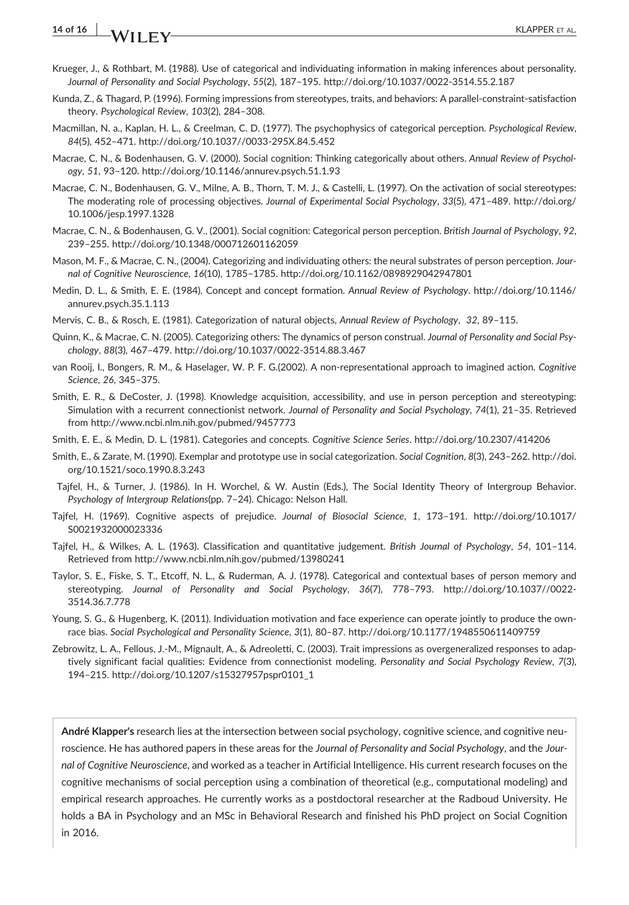### **14 of 16 NA/LI EXAMPLE AL.**

- Krueger, J., & Rothbart, M. (1988). Use of categorical and individuating information in making inferences about personality. Journal of Personality and Social Psychology, 55(2), 187–195. [http://doi.org/10.1037/0022](http://doi.org/10.1037/0022-3514.55.2.187)‐3514.55.2.187
- Kunda, Z., & Thagard, P. (1996). Forming impressions from stereotypes, traits, and behaviors: A parallel‐constraint‐satisfaction theory. Psychological Review, 103(2), 284–308.
- Macmillan, N. a., Kaplan, H. L., & Creelman, C. D. (1977). The psychophysics of categorical perception. Psychological Review, 84(5), 452–471. [http://doi.org/10.1037//0033](http://doi.org/10.1037//0033-295X.84.5.452)‐295X.84.5.452
- Macrae, C. N., & Bodenhausen, G. V. (2000). Social cognition: Thinking categorically about others. Annual Review of Psychology, 51, 93–120.<http://doi.org/10.1146/annurev.psych.51.1.93>
- Macrae, C. N., Bodenhausen, G. V., Milne, A. B., Thorn, T. M. J., & Castelli, L. (1997). On the activation of social stereotypes: The moderating role of processing objectives. Journal of Experimental Social Psychology, 33(5), 471–489. [http://doi.org/](http://doi.org/10.1006/jesp.1997.1328) [10.1006/jesp.1997.1328](http://doi.org/10.1006/jesp.1997.1328)
- Macrae, C. N., & Bodenhausen, G. V., (2001). Social cognition: Categorical person perception. British Journal of Psychology, 92, 239–255.<http://doi.org/10.1348/000712601162059>
- Mason, M. F., & Macrae, C. N., (2004). Categorizing and individuating others: the neural substrates of person perception. Journal of Cognitive Neuroscience, 16(10), 1785–1785.<http://doi.org/10.1162/0898929042947801>
- Medin, D. L., & Smith, E. E. (1984). Concept and concept formation. Annual Review of Psychology. [http://doi.org/10.1146/](http://doi.org/10.1146/annurev.psych.35.1.113) [annurev.psych.35.1.113](http://doi.org/10.1146/annurev.psych.35.1.113)
- Mervis, C. B., & Rosch, E. (1981). Categorization of natural objects, Annual Review of Psychology, 32, 89–115.
- Quinn, K., & Macrae, C. N. (2005). Categorizing others: The dynamics of person construal. Journal of Personality and Social Psychology, 88(3), 467–479. [http://doi.org/10.1037/0022](http://doi.org/10.1037/0022-3514.88.3.467)‐3514.88.3.467
- van Rooij, I., Bongers, R. M., & Haselager, W. P. F. G.(2002). A non-representational approach to imagined action. Cognitive Science, 26, 345–375.
- Smith, E. R., & DeCoster, J. (1998). Knowledge acquisition, accessibility, and use in person perception and stereotyping: Simulation with a recurrent connectionist network. Journal of Personality and Social Psychology, 74(1), 21–35. Retrieved from<http://www.ncbi.nlm.nih.gov/pubmed/9457773>
- Smith, E. E., & Medin, D. L. (1981). Categories and concepts. Cognitive Science Series.<http://doi.org/10.2307/414206>
- Smith, E., & Zarate, M. (1990). Exemplar and prototype use in social categorization. Social Cognition, 8(3), 243–262. [http://doi.](http://doi.org/10.1521/soco.1990.8.3.243) [org/10.1521/soco.1990.8.3.243](http://doi.org/10.1521/soco.1990.8.3.243)
- Tajfel, H., & Turner, J. (1986). In H. Worchel, & W. Austin (Eds.), The Social Identity Theory of Intergroup Behavior. Psychology of Intergroup Relations(pp. 7–24). Chicago: Nelson Hall.
- Tajfel, H. (1969). Cognitive aspects of prejudice. Journal of Biosocial Science, 1, 173–191. [http://doi.org/10.1017/](http://doi.org/10.1017/S0021932000023336) [S0021932000023336](http://doi.org/10.1017/S0021932000023336)
- Tajfel, H., & Wilkes, A. L. (1963). Classification and quantitative judgement. British Journal of Psychology, 54, 101–114. Retrieved from<http://www.ncbi.nlm.nih.gov/pubmed/13980241>
- Taylor, S. E., Fiske, S. T., Etcoff, N. L., & Ruderman, A. J. (1978). Categorical and contextual bases of person memory and stereotyping. Journal of Personality and Social Psychology, 36(7), 778-793. [http://doi.org/10.1037//0022](http://doi.org/10.1037//0022-3514.36.7.778)-[3514.36.7.778](http://doi.org/10.1037//0022-3514.36.7.778)
- Young, S. G., & Hugenberg, K. (2011). Individuation motivation and face experience can operate jointly to produce the own‐ race bias. Social Psychological and Personality Science, 3(1), 80–87.<http://doi.org/10.1177/1948550611409759>
- Zebrowitz, L. A., Fellous, J.‐M., Mignault, A., & Adreoletti, C. (2003). Trait impressions as overgeneralized responses to adaptively significant facial qualities: Evidence from connectionist modeling. Personality and Social Psychology Review, 7(3), 194–215. [http://doi.org/10.1207/s15327957pspr0101\\_1](http://doi.org/10.1207/s15327957pspr0101_1)

André Klapper's research lies at the intersection between social psychology, cognitive science, and cognitive neuroscience. He has authored papers in these areas for the Journal of Personality and Social Psychology, and the Journal of Cognitive Neuroscience, and worked as a teacher in Artificial Intelligence. His current research focuses on the cognitive mechanisms of social perception using a combination of theoretical (e.g., computational modeling) and empirical research approaches. He currently works as a postdoctoral researcher at the Radboud University. He holds a BA in Psychology and an MSc in Behavioral Research and finished his PhD project on Social Cognition in 2016.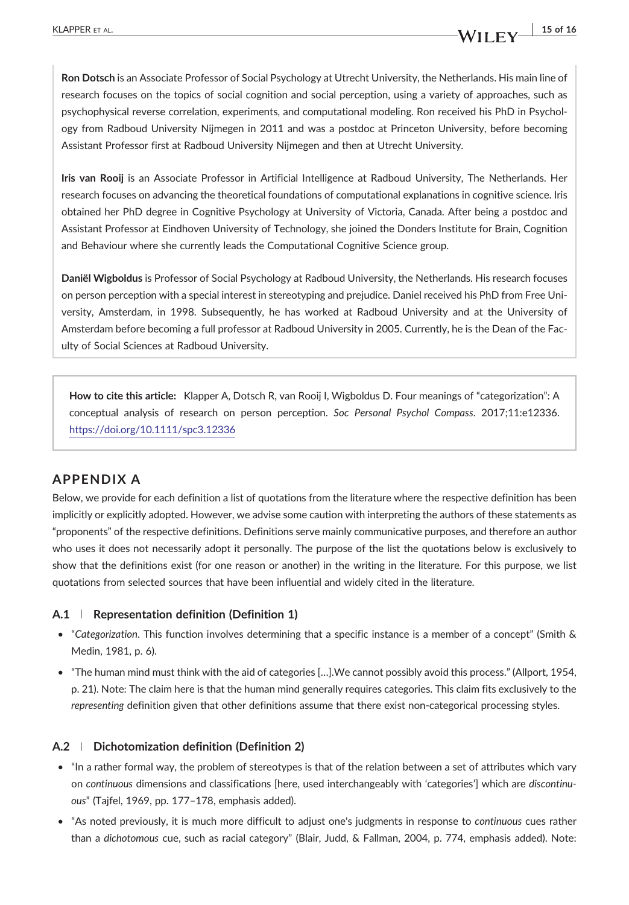# KLAPPER ET AL.  $\begin{bmatrix} 15 & 0 & 16 \\ 0 & 15 & 0 & 16 \\ 0 & 0 & 0 & 16 \\ 0 & 0 & 0 & 0 & 16 \\ 0 & 0 & 0 & 0 & 0 \\ 0 & 0 & 0 & 0 & 0 \\ 0 & 0 & 0 & 0 & 0 & 0 \\ 0 & 0 & 0 & 0 & 0 & 0 \\ 0 & 0 & 0 & 0 & 0 & 0 \\ 0 & 0 & 0 & 0 & 0 & 0 & 0 \\ 0 & 0 & 0 & 0 & 0 & 0 & 0 \\ 0 & 0 & 0 & 0 & 0 & 0 &$

Ron Dotsch is an Associate Professor of Social Psychology at Utrecht University, the Netherlands. His main line of research focuses on the topics of social cognition and social perception, using a variety of approaches, such as psychophysical reverse correlation, experiments, and computational modeling. Ron received his PhD in Psychology from Radboud University Nijmegen in 2011 and was a postdoc at Princeton University, before becoming Assistant Professor first at Radboud University Nijmegen and then at Utrecht University.

Iris van Rooij is an Associate Professor in Artificial Intelligence at Radboud University, The Netherlands. Her research focuses on advancing the theoretical foundations of computational explanations in cognitive science. Iris obtained her PhD degree in Cognitive Psychology at University of Victoria, Canada. After being a postdoc and Assistant Professor at Eindhoven University of Technology, she joined the Donders Institute for Brain, Cognition and Behaviour where she currently leads the Computational Cognitive Science group.

Daniël Wigboldus is Professor of Social Psychology at Radboud University, the Netherlands. His research focuses on person perception with a special interest in stereotyping and prejudice. Daniel received his PhD from Free University, Amsterdam, in 1998. Subsequently, he has worked at Radboud University and at the University of Amsterdam before becoming a full professor at Radboud University in 2005. Currently, he is the Dean of the Faculty of Social Sciences at Radboud University.

How to cite this article: Klapper A, Dotsch R, van Rooij I, Wigboldus D. Four meanings of "categorization": A conceptual analysis of research on person perception. Soc Personal Psychol Compass. 2017;11:e12336. <https://doi.org/10.1111/spc3.12336>

### APPENDIX A

Below, we provide for each definition a list of quotations from the literature where the respective definition has been implicitly or explicitly adopted. However, we advise some caution with interpreting the authors of these statements as "proponents" of the respective definitions. Definitions serve mainly communicative purposes, and therefore an author who uses it does not necessarily adopt it personally. The purpose of the list the quotations below is exclusively to show that the definitions exist (for one reason or another) in the writing in the literature. For this purpose, we list quotations from selected sources that have been influential and widely cited in the literature.

#### A.1 | Representation definition (Definition 1)

- "Categorization. This function involves determining that a specific instance is a member of a concept" (Smith & Medin, 1981, p. 6).
- "The human mind must think with the aid of categories […].We cannot possibly avoid this process." (Allport, 1954, p. 21). Note: The claim here is that the human mind generally requires categories. This claim fits exclusively to the representing definition given that other definitions assume that there exist non‐categorical processing styles.

#### A.2 | Dichotomization definition (Definition 2)

- "In a rather formal way, the problem of stereotypes is that of the relation between a set of attributes which vary on continuous dimensions and classifications [here, used interchangeably with 'categories'] which are discontinuous" (Tajfel, 1969, pp. 177–178, emphasis added).
- "As noted previously, it is much more difficult to adjust one's judgments in response to continuous cues rather than a dichotomous cue, such as racial category" (Blair, Judd, & Fallman, 2004, p. 774, emphasis added). Note: